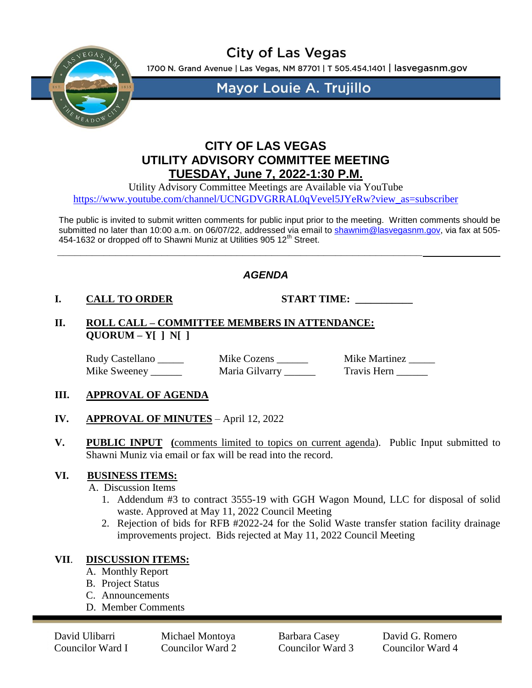

**City of Las Vegas** 

1700 N. Grand Avenue | Las Vegas, NM 87701 | T 505.454.1401 | lasvegasnm.gov

**Mayor Louie A. Trujillo** 

# **CITY OF LAS VEGAS UTILITY ADVISORY COMMITTEE MEETING TUESDAY, June 7, 2022-1:30 P.M.**

Utility Advisory Committee Meetings are Available via YouTube [https://www.youtube.com/channel/UCNGDVGRRAL0qVevel5JYeRw?view\\_as=subscriber](https://www.youtube.com/channel/UCNGDVGRRAL0qVevel5JYeRw?view_as=subscriber)

The public is invited to submit written comments for public input prior to the meeting. Written comments should be submitted no later than 10:00 a.m. on 06/07/22, addressed via email to [shawnim@lasvegasnm.gov,](mailto:shawnim@lasvegasnm.gov) via fax at 505-454-1632 or dropped off to Shawni Muniz at Utilities 905 12<sup>th</sup> Street.

# *AGENDA*

## **I. CALL TO ORDER START TIME: \_\_\_\_\_\_\_\_\_\_\_**

**II. ROLL CALL – COMMITTEE MEMBERS IN ATTENDANCE: QUORUM – Y[ ] N[ ]**

**\_\_\_\_\_\_\_\_\_\_\_\_\_\_\_\_\_\_\_\_\_\_\_\_\_\_\_\_\_\_\_\_\_\_\_\_\_\_\_\_\_\_\_\_\_\_\_\_\_\_\_\_\_\_\_\_\_\_\_\_\_\_\_**

Rudy Castellano **Example 2** Mike Cozens **Mike Martinez** Mike Martinez Mike Martinez **Mike Martinez** 

Mike Sweeney \_\_\_\_\_ Maria Gilvarry \_\_\_\_\_\_ Travis Hern \_\_\_\_\_

## **III. APPROVAL OF AGENDA**

- **IV. APPROVAL OF MINUTES** April 12, 2022
- **V. PUBLIC INPUT (**comments limited to topics on current agenda). Public Input submitted to Shawni Muniz via email or fax will be read into the record.

#### **VI. BUSINESS ITEMS:**

A. Discussion Items

- 1. Addendum #3 to contract 3555-19 with GGH Wagon Mound, LLC for disposal of solid waste. Approved at May 11, 2022 Council Meeting
- 2. Rejection of bids for RFB #2022-24 for the Solid Waste transfer station facility drainage improvements project. Bids rejected at May 11, 2022 Council Meeting

## **VII**. **DISCUSSION ITEMS:**

- A. Monthly Report
- B. Project Status
- C. Announcements
- D. Member Comments

David Ulibarri Michael Montoya Barbara Casey David G. Romero Councilor Ward I Councilor Ward 2 Councilor Ward 3 Councilor Ward 4